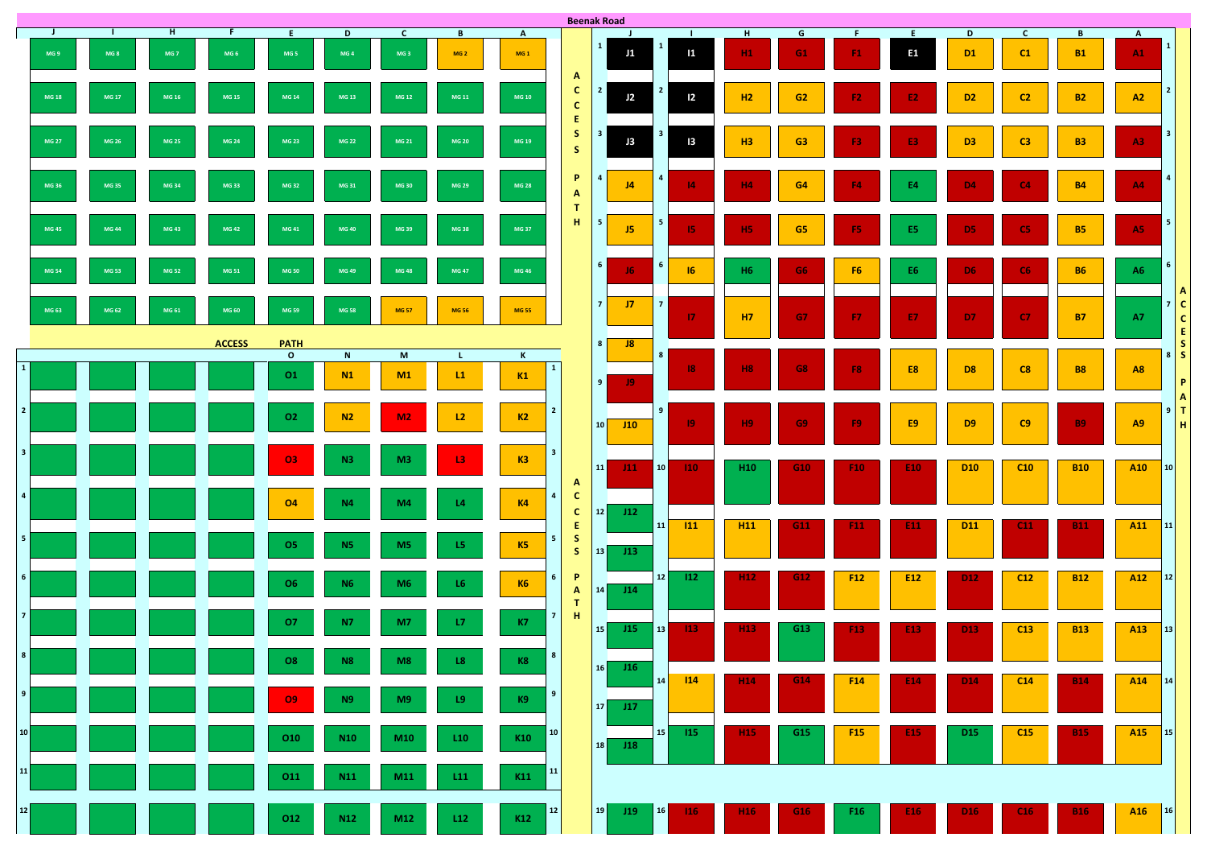

|                 |              |                 |                      |                  |                           |                      |                                 |                                   |                        |                                                         | <b>Beenak Road</b> |                             |                         |                         |                 |                 |                 |                      |                                |                    |                           |                    |                         |
|-----------------|--------------|-----------------|----------------------|------------------|---------------------------|----------------------|---------------------------------|-----------------------------------|------------------------|---------------------------------------------------------|--------------------|-----------------------------|-------------------------|-------------------------|-----------------|-----------------|-----------------|----------------------|--------------------------------|--------------------|---------------------------|--------------------|-------------------------|
|                 | J.<br>MG 9   | MG <sub>8</sub> | H<br>MG <sub>7</sub> | MG <sub>6</sub>  | E<br>MG <sub>5</sub>      | D<br>MG <sub>4</sub> | $\mathsf{C}$<br>MG <sub>3</sub> | $\overline{B}$<br>MG <sub>2</sub> | $\mathbf{A}$<br>$MG_1$ |                                                         | $\mathbf{1}$       | J<br>J1                     | $\mathbf{1}$            | 1                       | H<br>H1         | G<br>G1         | F<br>F1         | E.<br>E <sub>1</sub> | $\mathbf{D}$<br>D <sub>1</sub> | $\mathsf{C}$<br>C1 | $\mathbf{B}$<br><b>B1</b> | $\mathbf{A}$<br>A1 |                         |
|                 | MG 18        | MG 17           | MG 16                | MG 15            | MG 14                     | MG 13                | MG 12                           | MG 11                             | <b>MG 10</b>           | $\mathbf{A}$<br>$\mathbf{C}$<br>$\mathbf{C}$            | $\overline{2}$     | J2                          | $\overline{2}$          | $\overline{2}$          | H2              | G2              | F <sub>2</sub>  | E <sub>2</sub>       | D <sub>2</sub>                 | C <sub>2</sub>     | <b>B2</b>                 | A2                 | $\overline{\mathbf{c}}$ |
|                 | <b>MG 27</b> | MG 26           | <b>MG 25</b>         | <b>MG 24</b>     | <b>MG 23</b>              | <b>MG 22</b>         | MG 21                           | <b>MG 20</b>                      | MG 19                  | E<br>S<br>S                                             | 3 <sup>1</sup>     | J3                          | $\overline{\mathbf{3}}$ | $\overline{13}$         | H3              | G3              | F3              | E3                   | D <sub>3</sub>                 | C3                 | <b>B3</b>                 | A3                 |                         |
|                 | MG 36        | <b>MG 35</b>    | <b>MG 34</b>         | <b>MG 33</b>     | <b>MG 32</b>              | MG 31                | <b>MG 30</b>                    | <b>MG 29</b>                      | <b>MG 28</b>           | P<br>$\mathbf{A}$<br>$\mathbf T$                        | $\overline{a}$     | J <sub>4</sub>              | $\overline{4}$          | 4                       | H4              | G4              | <b>F4</b>       | <b>E4</b>            | D <sub>4</sub>                 | CA                 | <b>B4</b>                 | AA                 |                         |
|                 | <b>MG 45</b> | <b>MG 44</b>    | <b>MG 43</b>         | <b>MG 42</b>     | MG 41                     | <b>MG 40</b>         | MG 39                           | <b>MG 38</b>                      | MG 37                  | $\mathbf{H}$ .                                          | 5 <sub>1</sub>     | J5                          | 5 <sub>1</sub>          | 15 <sub>1</sub>         | H <sub>5</sub>  | G <sub>5</sub>  | F5              | E5                   | D5                             | CS                 | <b>B5</b>                 | <b>A5</b>          |                         |
|                 | MG 54        | <b>MG 53</b>    | <b>MG 52</b>         | MG <sub>51</sub> | <b>MG 50</b>              | MG 49                | <b>MG 48</b>                    | <b>MG 47</b>                      | MG 46                  |                                                         | $6\overline{6}$    | 16                          | 6                       | 16                      | H <sub>6</sub>  | G6              | <b>F6</b>       | E <sub>6</sub>       | D <sub>6</sub>                 | CG                 | <b>B6</b>                 | <b>A6</b>          | $\mathbf b$             |
|                 | MG 63        | MG 62           | MG 61                | <b>MG 60</b>     | <b>MG 59</b>              | <b>MG 58</b>         | <b>MG 57</b>                    | <b>MG 56</b>                      | <b>MG 55</b>           |                                                         | $\overline{7}$     | J7                          | $\overline{7}$          | $\mathbf{17}$           | <b>H7</b>       | <b>G7</b>       | <b>F7</b>       | E7                   | D7                             | C7                 | <b>B7</b>                 | <b>A7</b>          |                         |
|                 |              |                 |                      | <b>ACCESS</b>    | <b>PATH</b>               |                      |                                 |                                   |                        |                                                         | 8                  | $\overline{\phantom{0}}$ J8 |                         |                         |                 |                 |                 |                      |                                |                    |                           |                    |                         |
| $\mathbf{1}$    |              |                 |                      |                  | $\mathbf{o}$<br><b>O1</b> | $\mathbf N$<br>N1    | M<br>M1                         | $\mathbf{L}$<br>L1                | $\mathbf{K}$<br>K1     | $\vert 1 \vert$                                         | 9                  | 19                          | 8                       | $\overline{\mathbf{8}}$ | <b>H8</b>       | <b>G8</b>       | F8              | E8                   | D <sub>8</sub>                 | C8                 | <b>B8</b>                 | <b>A8</b>          | ୪                       |
| $\vert$ 2       |              |                 |                      |                  | O <sub>2</sub>            | N2                   | M2                              | L2                                | K2                     | $\overline{2}$                                          | 10 <sup>1</sup>    | J10                         | 9 <sup>1</sup>          | 19 <sub>1</sub>         | H <sub>9</sub>  | G9              | F9              | E9                   | D <sub>9</sub>                 | C9                 | <b>B9</b>                 | A9                 | 9                       |
| $\vert$ 3       |              |                 |                      |                  | 03                        | N3                   | M3                              | L3                                | <b>K3</b>              | $\overline{\mathbf{3}}$<br>$\mathbf{A}$                 | 11                 | 111                         | 10                      | 110                     | H <sub>10</sub> | G <sub>10</sub> | F <sub>10</sub> | E10                  | <b>D10</b>                     | C10                | <b>B10</b>                | <b>A10</b>         | $\overline{10}$         |
| 4               |              |                 |                      |                  | <b>O4</b>                 | N4                   | M4                              | L4                                | <b>K4</b>              | $\mathbf{C}$<br>$\vert$ 4 $\vert$<br>$\mathbf{C}$<br>E. | $12$               | J12                         | 11                      | $ 111\rangle$           | H <sub>11</sub> |                 |                 |                      | <b>D11</b>                     | C11                |                           | <b>A11</b>         |                         |
| 5               |              |                 |                      |                  | 05                        | N5                   | M <sub>5</sub>                  | L5                                | K5                     | S<br>- 5  <br>S                                         | 13                 | J13                         |                         |                         |                 | G11             | F <sub>11</sub> | E11                  |                                |                    | <b>B11</b>                |                    | 11                      |
| $6 \mid$        |              |                 |                      |                  | 06                        |                      | M6                              | L6                                | <b>K6</b>              | P<br>6 <sup>1</sup><br>$\mathbf{A}$<br>T                | 14                 | J14                         | 12                      | $ 12\rangle$            | H <sub>12</sub> | G12             | F12             | E12                  | D <sub>12</sub>                | C12                | <b>B12</b>                | A <sub>12</sub>    | $\overline{1}$          |
| 7 <sup>1</sup>  |              |                 |                      |                  | 07                        | N7                   | M7                              | L7                                | <b>K7</b>              | $\,$ H $_{\odot}$<br>$\overline{7}$                     | 15                 | J15                         | $\vert$ 13              | $ 13\rangle$            | H <sub>13</sub> | G13             | F <sub>13</sub> | E13                  | D <sub>13</sub>                | C13                | <b>B13</b>                | A13                | 13                      |
| 8 <sup>1</sup>  |              |                 |                      |                  | O8                        |                      | M8                              | L8                                | <b>K8</b>              | 8                                                       | 16                 | J16                         | 14                      | $ 114\rangle$           | H <sub>14</sub> | G <sub>14</sub> | F <sub>14</sub> | E <sub>14</sub>      | D <sub>14</sub>                | C14                | <b>B14</b>                | A14                | 1 <sup>2</sup>          |
| 9 <sup>1</sup>  |              |                 |                      |                  | O9                        |                      | М9                              | L9                                | K9                     | 9                                                       | 17                 | J17                         |                         |                         |                 |                 |                 |                      |                                |                    |                           |                    |                         |
| 10 <sub>l</sub> |              |                 |                      |                  | O <sub>10</sub>           | <b>N10</b>           | M10                             | L10                               | K10                    | 10                                                      | 18                 | J18                         | <b>15</b>               | 115                     | <b>H15</b>      | G <sub>15</sub> | <b>F15</b>      | E <sub>15</sub>      | D <sub>15</sub>                | C15                | <b>B15</b>                | A <sub>15</sub>    | 15                      |
| 11              |              |                 |                      |                  | 011                       | N11                  | M11                             | L11                               | K11                    | 11                                                      |                    |                             |                         |                         |                 |                 |                 |                      |                                |                    |                           |                    |                         |
| 12              |              |                 |                      |                  | 012                       | N <sub>12</sub>      | M12                             | L12                               | K12                    | 12                                                      | 19                 | J19                         | 16                      | $ 16\rangle$            | H <sub>16</sub> | G <sub>16</sub> | F <sub>16</sub> | E <sub>16</sub>      | D <sub>16</sub>                | C16                | <b>B16</b>                |                    | $\overline{A16}$ 16     |